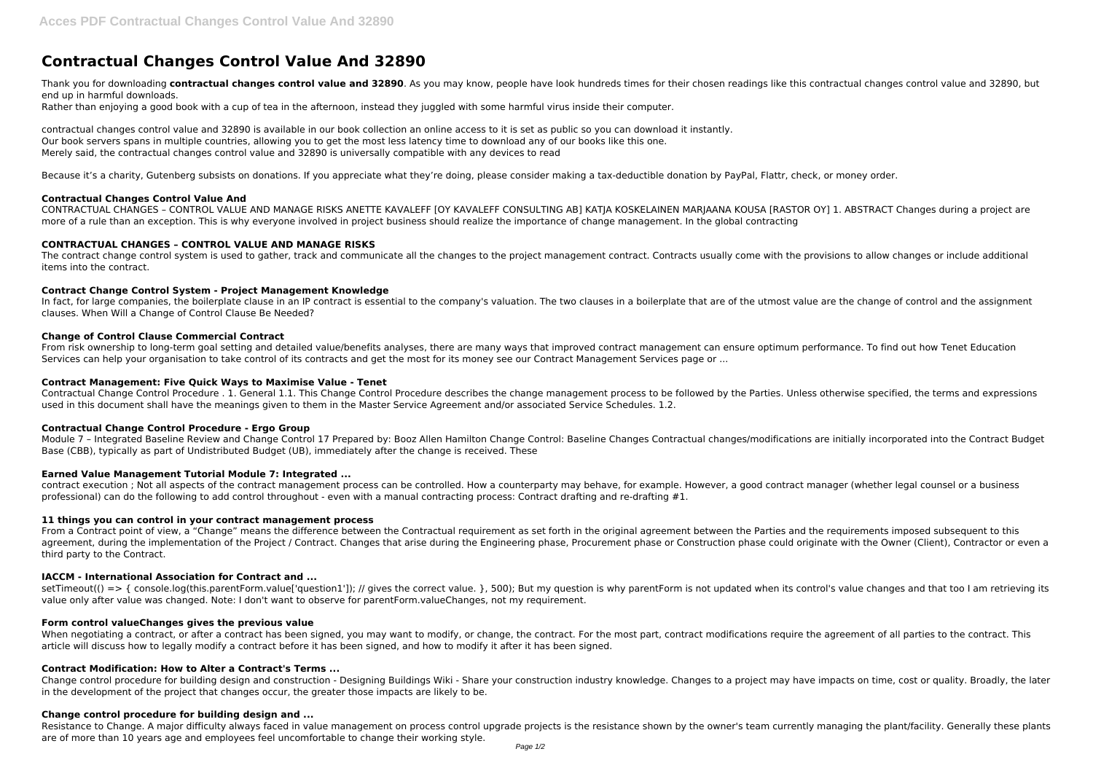# **Contractual Changes Control Value And 32890**

Thank you for downloading contractual changes control value and 32890. As you may know, people have look hundreds times for their chosen readings like this contractual changes control value and 32890, but end up in harmful downloads.

Rather than enjoying a good book with a cup of tea in the afternoon, instead they juggled with some harmful virus inside their computer.

contractual changes control value and 32890 is available in our book collection an online access to it is set as public so you can download it instantly. Our book servers spans in multiple countries, allowing you to get the most less latency time to download any of our books like this one. Merely said, the contractual changes control value and 32890 is universally compatible with any devices to read

Because it's a charity, Gutenberg subsists on donations. If you appreciate what they're doing, please consider making a tax-deductible donation by PayPal, Flattr, check, or money order.

CONTRACTUAL CHANGES - CONTROL VALUE AND MANAGE RISKS ANETTE KAVALEFF [OY KAVALEFF CONSULTING AB] KATJA KOSKELAINEN MARJAANA KOUSA [RASTOR OY] 1. ABSTRACT Changes during a project are more of a rule than an exception. This is why everyone involved in project business should realize the importance of change management. In the global contracting

The contract change control system is used to gather, track and communicate all the changes to the project management contract. Contracts usually come with the provisions to allow changes or include additional items into the contract.

In fact, for large companies, the boilerplate clause in an IP contract is essential to the company's valuation. The two clauses in a boilerplate that are of the utmost value are the change of control and the assignment clauses. When Will a Change of Control Clause Be Needed?

## **Contractual Changes Control Value And**

## **CONTRACTUAL CHANGES – CONTROL VALUE AND MANAGE RISKS**

contract execution ; Not all aspects of the contract management process can be controlled. How a counterparty may behave, for example. However, a good contract manager (whether legal counsel or a business professional) can do the following to add control throughout - even with a manual contracting process: Contract drafting and re-drafting #1.

## **Contract Change Control System - Project Management Knowledge**

## **Change of Control Clause Commercial Contract**

setTimeout(() => { console.log(this.parentForm.value['question1']); // gives the correct value. }, 500); But my question is why parentForm is not updated when its control's value changes and that too I am retrieving its value only after value was changed. Note: I don't want to observe for parentForm.valueChanges, not my requirement.

From risk ownership to long-term goal setting and detailed value/benefits analyses, there are many ways that improved contract management can ensure optimum performance. To find out how Tenet Education Services can help your organisation to take control of its contracts and get the most for its money see our Contract Management Services page or ...

When negotiating a contract, or after a contract has been signed, you may want to modify, or change, the contract. For the most part, contract modifications require the agreement of all parties to the contract. This article will discuss how to legally modify a contract before it has been signed, and how to modify it after it has been signed.

#### **Contract Management: Five Quick Ways to Maximise Value - Tenet**

Contractual Change Control Procedure . 1. General 1.1. This Change Control Procedure describes the change management process to be followed by the Parties. Unless otherwise specified, the terms and expressions used in this document shall have the meanings given to them in the Master Service Agreement and/or associated Service Schedules. 1.2.

Resistance to Change. A major difficulty always faced in value management on process control upgrade projects is the resistance shown by the owner's team currently managing the plant/facility. Generally these plants are of more than 10 years age and employees feel uncomfortable to change their working style.

## **Contractual Change Control Procedure - Ergo Group**

Module 7 – Integrated Baseline Review and Change Control 17 Prepared by: Booz Allen Hamilton Change Control: Baseline Changes Contractual changes/modifications are initially incorporated into the Contract Budget Base (CBB), typically as part of Undistributed Budget (UB), immediately after the change is received. These

## **Earned Value Management Tutorial Module 7: Integrated ...**

## **11 things you can control in your contract management process**

From a Contract point of view, a "Change" means the difference between the Contractual requirement as set forth in the original agreement between the Parties and the requirements imposed subsequent to this agreement, during the implementation of the Project / Contract. Changes that arise during the Engineering phase, Procurement phase or Construction phase could originate with the Owner (Client), Contractor or even a third party to the Contract.

## **IACCM - International Association for Contract and ...**

## **Form control valueChanges gives the previous value**

## **Contract Modification: How to Alter a Contract's Terms ...**

Change control procedure for building design and construction - Designing Buildings Wiki - Share your construction industry knowledge. Changes to a project may have impacts on time, cost or quality. Broadly, the later in the development of the project that changes occur, the greater those impacts are likely to be.

## **Change control procedure for building design and ...**